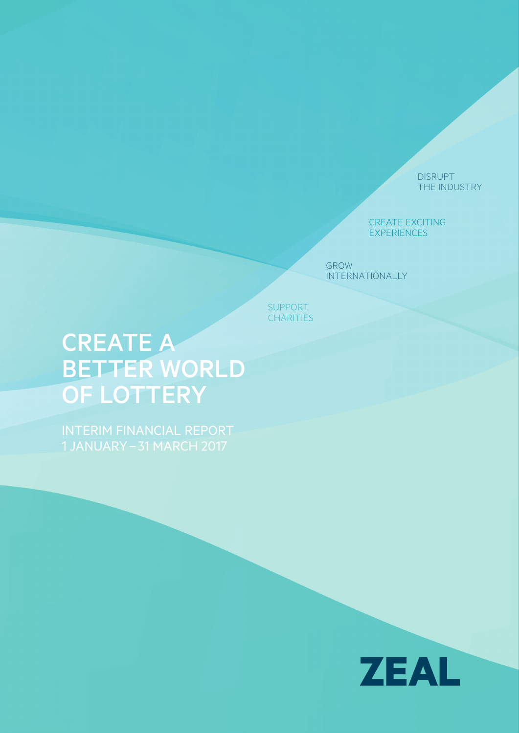DISRUPT THE INDUSTRY

CREATE EXCITING EXPERIENCES

GROW INTERNATIONALLY

SUPPORT **CHARITIES** 

# CREATE A BETTER WORLD OF LOTTERY

INTERIM FINANCIAL REPORT 1 JANUARY– 31 MARCH 2017

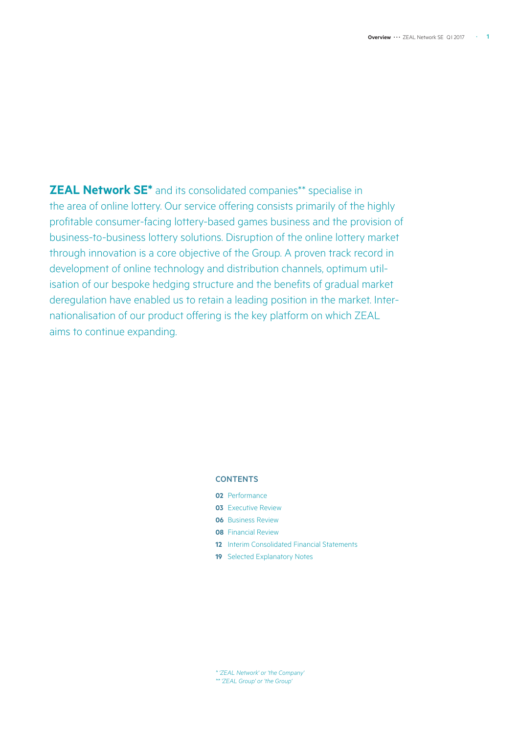**ZEAL Network SE\*** and its consolidated companies\*\* specialise in the area of online lottery. Our service offering consists primarily of the highly profitable consumer-facing lottery-based games business and the provision of business-to-business lottery solutions. Disruption of the online lottery market through innovation is a core objective of the Group. A proven track record in development of online technology and distribution channels, optimum utilisation of our bespoke hedging structure and the benefits of gradual market deregulation have enabled us to retain a leading position in the market. Internationalisation of our product offering is the key platform on which ZEAL aims to continue expanding.

### **CONTENTS**

- **02** Performance
- **03** Executive Review
- **06** Business Review
- **08** Financial Review
- **12** Interim Consolidated Financial Statements
- **19** Selected Explanatory Notes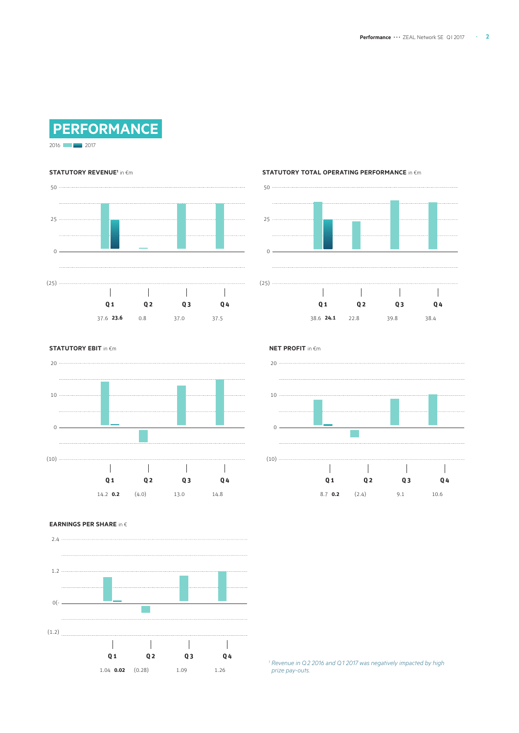

2016 **2017** 

#### **STATUTORY REVENUE<sup>1</sup> in €m**



#### **STATUTORY TOTAL OPERATING PERFORMANCE** in  $\epsilon$ m



### **STATUTORY EBIT** in  $\n\in$ m





#### **EARNINGS PER SHARE** in �

2.4  $\overline{\phantom{a}}$ 1.2  $\ddotsc$  $0( \sim$  $1.1.1.1.1$  $(1.2)$  $\mathbb{R}^n$  $\mathbb{R}$  $\sim 10$  $\blacksquare$ **Q 1 Q 2 Q 3 Q 4** 1.09 1.26 1.04 **0.02** (0.28)

*<sup>1</sup> Revenue in Q2 2016 and Q1 2017 was negatively impacted by high prize pay-outs.*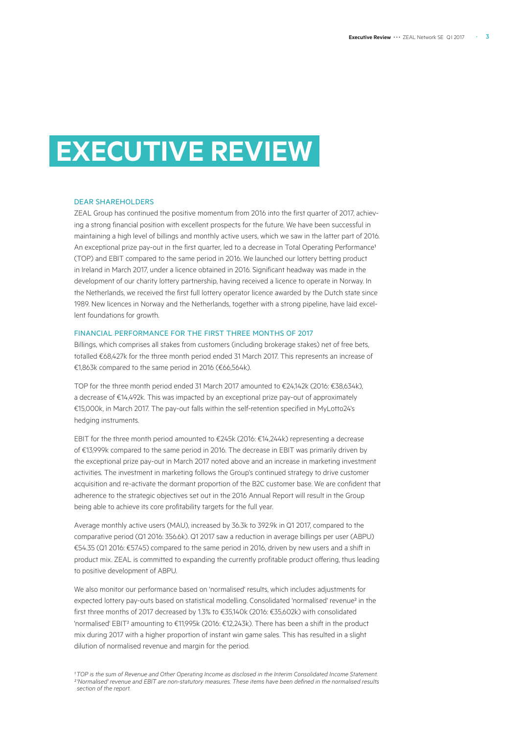# **EXECUTIVE REVIEW**

#### DEAR SHAREHOLDERS

ZEAL Group has continued the positive momentum from 2016 into the first quarter of 2017, achieving a strong financial position with excellent prospects for the future. We have been successful in maintaining a high level of billings and monthly active users, which we saw in the latter part of 2016. An exceptional prize pay-out in the first quarter, led to a decrease in Total Operating Performance<sup>1</sup> (TOP) and EBIT compared to the same period in 2016. We launched our lottery betting product in Ireland in March 2017, under a licence obtained in 2016. Significant headway was made in the development of our charity lottery partnership, having received a licence to operate in Norway. In the Netherlands, we received the first full lottery operator licence awarded by the Dutch state since 1989. New licences in Norway and the Netherlands, together with a strong pipeline, have laid excellent foundations for growth.

#### FINANCIAL PERFORMANCE FOR THE FIRST THREE MONTHS OF 2017

Billings, which comprises all stakes from customers (including brokerage stakes) net of free bets, totalled €68,427k for the three month period ended 31 March 2017. This represents an increase of €1,863k compared to the same period in 2016 (€66,564k).

TOP for the three month period ended 31 March 2017 amounted to €24,142k (2016: €38,634k), a decrease of €14,492k. This was impacted by an exceptional prize pay-out of approximately €15,000k, in March 2017. The pay-out falls within the self-retention specified in MyLotto24's hedging instruments.

EBIT for the three month period amounted to €245k (2016: €14,244k) representing a decrease of €13,999k compared to the same period in 2016. The decrease in EBIT was primarily driven by the exceptional prize pay-out in March 2017 noted above and an increase in marketing investment activities. The investment in marketing follows the Group's continued strategy to drive customer acquisition and re-activate the dormant proportion of the B2C customer base. We are confident that adherence to the strategic objectives set out in the 2016 Annual Report will result in the Group being able to achieve its core profitability targets for the full year.

Average monthly active users (MAU), increased by 36.3k to 392.9k in Q1 2017, compared to the comparative period (Q1 2016: 356.6k). Q1 2017 saw a reduction in average billings per user (ABPU) €54.35 (Q1 2016: €57.45) compared to the same period in 2016, driven by new users and a shift in product mix. ZEAL is committed to expanding the currently profitable product offering, thus leading to positive development of ABPU.

We also monitor our performance based on 'normalised' results, which includes adjustments for expected lottery pay-outs based on statistical modelling. Consolidated 'normalised' revenue<sup>2</sup> in the first three months of 2017 decreased by 1.3% to €35,140k (2016: €35,602k) with consolidated 'normalised' EBIT² amounting to €11,995k (2016: €12,243k). There has been a shift in the product mix during 2017 with a higher proportion of instant win game sales. This has resulted in a slight dilution of normalised revenue and margin for the period.

*¹TOP is the sum of Revenue and Other Operating Income as disclosed in the Interim Consolidated Income Statement. ² 'Normalised' revenue and EBIT are non-statutory measures. These items have been defined in the normalised results section of the report.*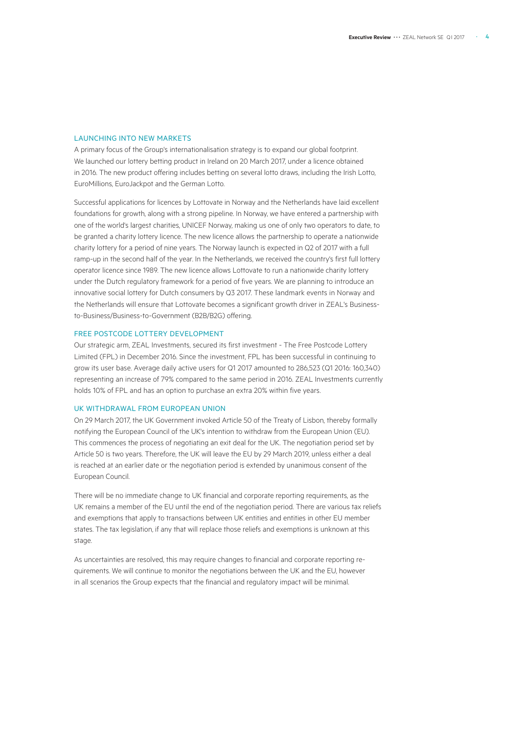### LAUNCHING INTO NEW MARKETS

A primary focus of the Group's internationalisation strategy is to expand our global footprint. We launched our lottery betting product in Ireland on 20 March 2017, under a licence obtained in 2016. The new product offering includes betting on several lotto draws, including the Irish Lotto, EuroMillions, EuroJackpot and the German Lotto.

Successful applications for licences by Lottovate in Norway and the Netherlands have laid excellent foundations for growth, along with a strong pipeline. In Norway, we have entered a partnership with one of the world's largest charities, UNICEF Norway, making us one of only two operators to date, to be granted a charity lottery licence. The new licence allows the partnership to operate a nationwide charity lottery for a period of nine years. The Norway launch is expected in Q2 of 2017 with a full ramp-up in the second half of the year. In the Netherlands, we received the country's first full lottery operator licence since 1989. The new licence allows Lottovate to run a nationwide charity lottery under the Dutch regulatory framework for a period of five years. We are planning to introduce an innovative social lottery for Dutch consumers by Q3 2017. These landmark events in Norway and the Netherlands will ensure that Lottovate becomes a significant growth driver in ZEAL's Businessto-Business/Business-to-Government (B2B/B2G) offering.

#### FREE POSTCODE LOTTERY DEVELOPMENT

Our strategic arm, ZEAL Investments, secured its first investment - The Free Postcode Lottery Limited (FPL) in December 2016. Since the investment, FPL has been successful in continuing to grow its user base. Average daily active users for Q1 2017 amounted to 286,523 (Q1 2016: 160,340) representing an increase of 79% compared to the same period in 2016. ZEAL Investments currently holds 10% of FPL and has an option to purchase an extra 20% within five years.

#### UK WITHDRAWAL FROM EUROPEAN UNION

On 29 March 2017, the UK Government invoked Article 50 of the Treaty of Lisbon, thereby formally notifying the European Council of the UK's intention to withdraw from the European Union (EU). This commences the process of negotiating an exit deal for the UK. The negotiation period set by Article 50 is two years. Therefore, the UK will leave the EU by 29 March 2019, unless either a deal is reached at an earlier date or the negotiation period is extended by unanimous consent of the European Council.

There will be no immediate change to UK financial and corporate reporting requirements, as the UK remains a member of the EU until the end of the negotiation period. There are various tax reliefs and exemptions that apply to transactions between UK entities and entities in other EU member states. The tax legislation, if any that will replace those reliefs and exemptions is unknown at this stage.

As uncertainties are resolved, this may require changes to financial and corporate reporting requirements. We will continue to monitor the negotiations between the UK and the EU, however in all scenarios the Group expects that the financial and regulatory impact will be minimal.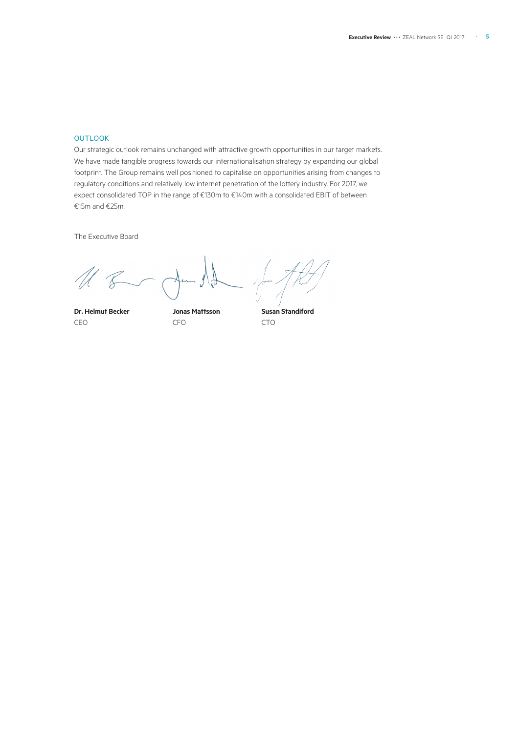### **OUTLOOK**

Our strategic outlook remains unchanged with attractive growth opportunities in our target markets. We have made tangible progress towards our internationalisation strategy by expanding our global footprint. The Group remains well positioned to capitalise on opportunities arising from changes to regulatory conditions and relatively low internet penetration of the lottery industry. For 2017, we expect consolidated TOP in the range of €130m to €140m with a consolidated EBIT of between €15m and €25m.

The Executive Board

**Dr. Helmut Becker Jonas Mattsson Susan Standiford** CEO CFO CTO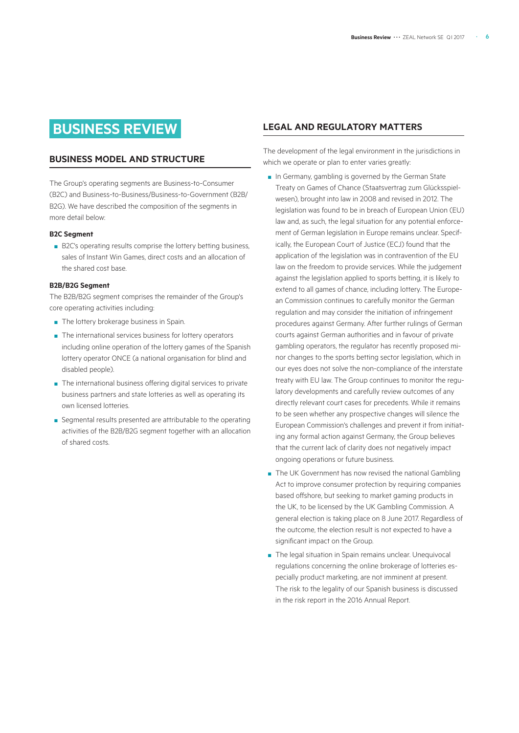## **BUSINESS REVIEW**

### **BUSINESS MODEL AND STRUCTURE**

The Group's operating segments are Business-to-Consumer (B2C) and Business-to-Business/Business-to-Government (B2B/ B2G). We have described the composition of the segments in more detail below:

### **B2C Segment**

■ B2C's operating results comprise the lottery betting business, sales of Instant Win Games, direct costs and an allocation of the shared cost base.

#### **B2B/B2G Segment**

The B2B/B2G segment comprises the remainder of the Group's core operating activities including:

- The lottery brokerage business in Spain.
- The international services business for lottery operators including online operation of the lottery games of the Spanish lottery operator ONCE (a national organisation for blind and disabled people).
- The international business offering digital services to private business partners and state lotteries as well as operating its own licensed lotteries.
- Segmental results presented are attributable to the operating activities of the B2B/B2G segment together with an allocation of shared costs.

### **LEGAL AND REGULATORY MATTERS**

The development of the legal environment in the jurisdictions in which we operate or plan to enter varies greatly:

- In Germany, gambling is governed by the German State Treaty on Games of Chance (Staatsvertrag zum Glücksspielwesen), brought into law in 2008 and revised in 2012. The legislation was found to be in breach of European Union (EU) law and, as such, the legal situation for any potential enforcement of German legislation in Europe remains unclear. Specifically, the European Court of Justice (ECJ) found that the application of the legislation was in contravention of the EU law on the freedom to provide services. While the judgement against the legislation applied to sports betting, it is likely to extend to all games of chance, including lottery. The European Commission continues to carefully monitor the German regulation and may consider the initiation of infringement procedures against Germany. After further rulings of German courts against German authorities and in favour of private gambling operators, the regulator has recently proposed minor changes to the sports betting sector legislation, which in our eyes does not solve the non-compliance of the interstate treaty with EU law. The Group continues to monitor the regulatory developments and carefully review outcomes of any directly relevant court cases for precedents. While it remains to be seen whether any prospective changes will silence the European Commission's challenges and prevent it from initiating any formal action against Germany, the Group believes that the current lack of clarity does not negatively impact ongoing operations or future business.
- The UK Government has now revised the national Gambling Act to improve consumer protection by requiring companies based offshore, but seeking to market gaming products in the UK, to be licensed by the UK Gambling Commission. A general election is taking place on 8 June 2017. Regardless of the outcome, the election result is not expected to have a significant impact on the Group.
- The legal situation in Spain remains unclear. Unequivocal regulations concerning the online brokerage of lotteries especially product marketing, are not imminent at present. The risk to the legality of our Spanish business is discussed in the risk report in the 2016 Annual Report.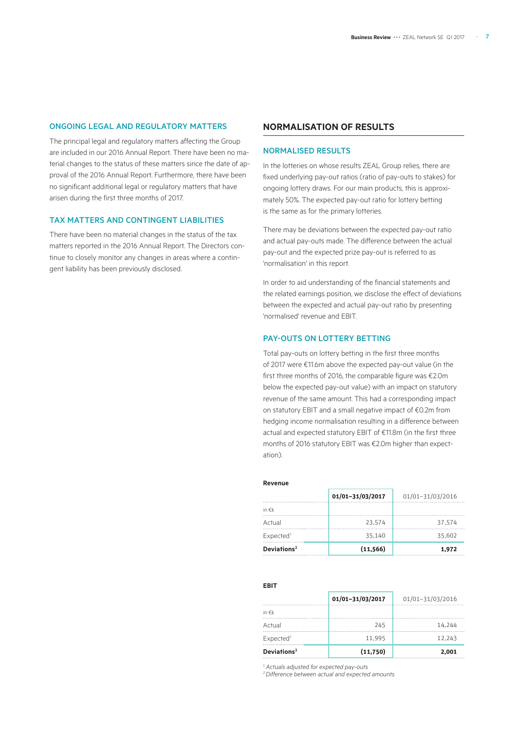### ONGOING LEGAL AND REGULATORY MATTERS

The principal legal and regulatory matters affecting the Group are included in our 2016 Annual Report. There have been no material changes to the status of these matters since the date of approval of the 2016 Annual Report. Furthermore, there have been no significant additional legal or regulatory matters that have arisen during the first three months of 2017.

### TAX MATTERS AND CONTINGENT LIABILITIES

There have been no material changes in the status of the tax matters reported in the 2016 Annual Report. The Directors continue to closely monitor any changes in areas where a contingent liability has been previously disclosed.

### **NORMALISATION OF RESULTS**

#### NORMALISED RESULTS

In the lotteries on whose results ZEAL Group relies, there are fixed underlying pay-out ratios (ratio of pay-outs to stakes) for ongoing lottery draws. For our main products, this is approximately 50%. The expected pay-out ratio for lottery betting is the same as for the primary lotteries.

There may be deviations between the expected pay-out ratio and actual pay-outs made. The difference between the actual pay-out and the expected prize pay-out is referred to as 'normalisation' in this report.

In order to aid understanding of the financial statements and the related earnings position, we disclose the effect of deviations between the expected and actual pay-out ratio by presenting 'normalised' revenue and EBIT.

### PAY-OUTS ON LOTTERY BETTING

Total pay-outs on lottery betting in the first three months of 2017 were €11.6m above the expected pay-out value (in the first three months of 2016, the comparable figure was €2.0m below the expected pay-out value) with an impact on statutory revenue of the same amount. This had a corresponding impact on statutory EBIT and a small negative impact of €0.2m from hedging income normalisation resulting in a difference between actual and expected statutory EBIT of €11.8m (in the first three months of 2016 statutory EBIT was €2.0m higher than expectation).

#### **Revenue**

|                         | 01/01-31/03/2017 | 01/01-31/03/2016 |
|-------------------------|------------------|------------------|
| in $\notin k$           |                  |                  |
| Actual                  | 23.574           | 37.574           |
| Expected <sup>1</sup>   | 35.140           | 35.602           |
| Deviations <sup>2</sup> | (11, 566)        | 1,972            |

#### **EBIT**

|                         | 01/01-31/03/2017 | 01/01-31/03/2016 |
|-------------------------|------------------|------------------|
| in $\notin k$           |                  |                  |
| Actual                  | 245              | 14.244           |
| Expected <sup>1</sup>   | 11.995           | 12.243           |
| Deviations <sup>2</sup> | (11,750)         | 2,001            |

*1 Actuals adjusted for expected pay-outs 2 Difference between actual and expected amounts*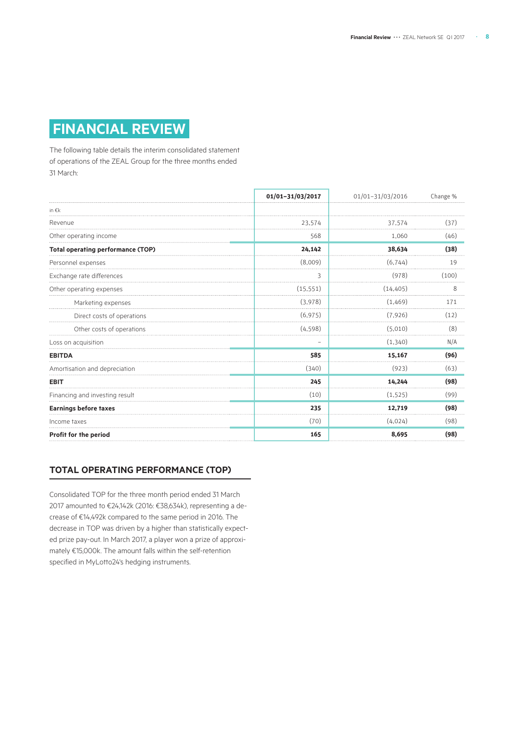# **FINANCIAL REVIEW**

The following table details the interim consolidated statement of operations of the ZEAL Group for the three months ended 31 March:

|                                          | 01/01-31/03/2017 | 01/01-31/03/2016 | Change % |
|------------------------------------------|------------------|------------------|----------|
| in $\notin k$                            |                  |                  |          |
| Revenue                                  | 23,574           | 37,574           | (37)     |
| Other operating income                   | 568              | 1,060            | (46)     |
| <b>Total operating performance (TOP)</b> | 24,142           | 38,634           | (38)     |
| Personnel expenses                       | (8,009)          | (6, 744)         | 19       |
| Exchange rate differences                | 3                | (978)            | (100)    |
| Other operating expenses                 | (15, 551)        | (14, 405)        | 8        |
| Marketing expenses                       | (3,978)          | (1,469)          | 171      |
| Direct costs of operations               | (6, 975)         | (7,926)          | (12)     |
| Other costs of operations                | (4, 598)         | (5.010)          | (8)      |
| Loss on acquisition                      |                  | (1,340)          | N/A      |
| <b>EBITDA</b>                            | 585              | 15,167           | (96)     |
| Amortisation and depreciation            | (340)            | (923)            | (63)     |
| <b>EBIT</b>                              | 245              | 14,244           | (98)     |
| Financing and investing result           | (10)             | (1, 525)         | (99)     |
| <b>Earnings before taxes</b>             | 235              | 12,719           | (98)     |
| Income taxes                             | (70)             | (4,024)          | (98)     |
| Profit for the period                    | 165              | 8,695            | (98)     |

### **TOTAL OPERATING PERFORMANCE (TOP)**

Consolidated TOP for the three month period ended 31 March 2017 amounted to €24,142k (2016: €38,634k), representing a decrease of €14,492k compared to the same period in 2016. The decrease in TOP was driven by a higher than statistically expected prize pay-out. In March 2017, a player won a prize of approximately €15,000k. The amount falls within the self-retention specified in MyLotto24's hedging instruments.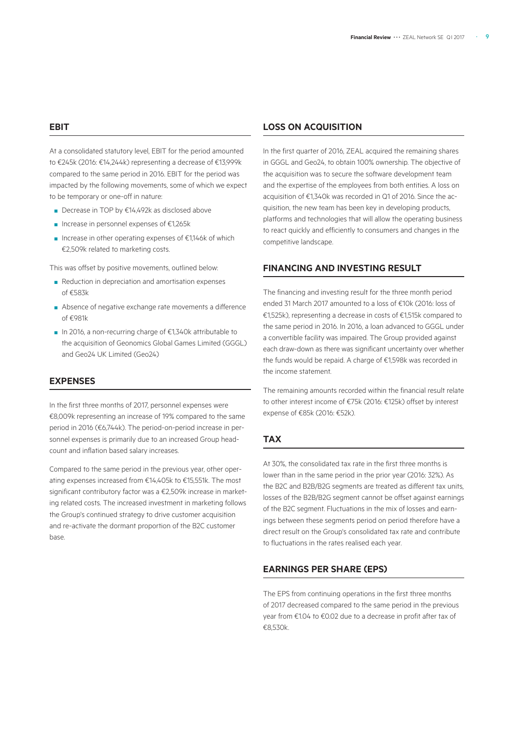### **EBIT**

At a consolidated statutory level, EBIT for the period amounted to €245k (2016: €14,244k) representing a decrease of €13,999k compared to the same period in 2016. EBIT for the period was impacted by the following movements, some of which we expect to be temporary or one-off in nature:

- Decrease in TOP by €14,492k as disclosed above
- Increase in personnel expenses of €1,265k
- Increase in other operating expenses of €1,146k of which €2,509k related to marketing costs.

This was offset by positive movements, outlined below:

- Reduction in depreciation and amortisation expenses of €583k
- Absence of negative exchange rate movements a difference of €981k
- In 2016, a non-recurring charge of €1,340k attributable to the acquisition of Geonomics Global Games Limited (GGGL) and Geo24 UK Limited (Geo24)

### **EXPENSES**

In the first three months of 2017, personnel expenses were €8,009k representing an increase of 19% compared to the same period in 2016 (€6,744k). The period-on-period increase in personnel expenses is primarily due to an increased Group headcount and inflation based salary increases.

Compared to the same period in the previous year, other operating expenses increased from €14,405k to €15,551k. The most significant contributory factor was a €2,509k increase in marketing related costs. The increased investment in marketing follows the Group's continued strategy to drive customer acquisition and re-activate the dormant proportion of the B2C customer base.

### **LOSS ON ACQUISITION**

In the first quarter of 2016, ZEAL acquired the remaining shares in GGGL and Geo24, to obtain 100% ownership. The objective of the acquisition was to secure the software development team and the expertise of the employees from both entities. A loss on acquisition of €1,340k was recorded in Q1 of 2016. Since the acquisition, the new team has been key in developing products, platforms and technologies that will allow the operating business to react quickly and efficiently to consumers and changes in the competitive landscape.

### **FINANCING AND INVESTING RESULT**

The financing and investing result for the three month period ended 31 March 2017 amounted to a loss of €10k (2016: loss of €1,525k), representing a decrease in costs of €1,515k compared to the same period in 2016. In 2016, a loan advanced to GGGL under a convertible facility was impaired. The Group provided against each draw-down as there was significant uncertainty over whether the funds would be repaid. A charge of €1,598k was recorded in the income statement.

The remaining amounts recorded within the financial result relate to other interest income of €75k (2016: €125k) offset by interest expense of €85k (2016: €52k).

### **TAX**

At 30%, the consolidated tax rate in the first three months is lower than in the same period in the prior year (2016: 32%). As the B2C and B2B/B2G segments are treated as different tax units, losses of the B2B/B2G segment cannot be offset against earnings of the B2C segment. Fluctuations in the mix of losses and earnings between these segments period on period therefore have a direct result on the Group's consolidated tax rate and contribute to fluctuations in the rates realised each year.

### **EARNINGS PER SHARE (EPS)**

The EPS from continuing operations in the first three months of 2017 decreased compared to the same period in the previous year from €1.04 to €0.02 due to a decrease in profit after tax of €8,530k.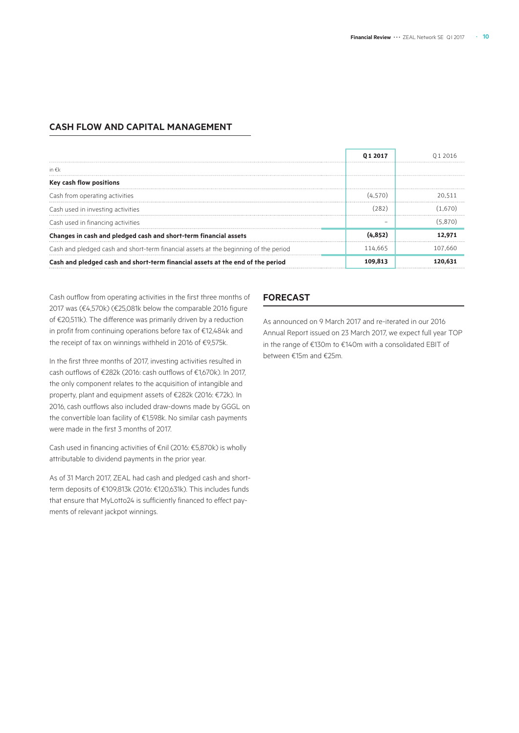### **CASH FLOW AND CAPITAL MANAGEMENT**

|                                                                                      | 01 2017 |         |
|--------------------------------------------------------------------------------------|---------|---------|
| in $\epsilon$ k                                                                      |         |         |
| Key cash flow positions                                                              |         |         |
| Cash from operating activities                                                       | (4.570) | 20.511  |
| Cash used in investing activities                                                    | (282)   | (1.670) |
| Cash used in financing activities                                                    |         |         |
| Changes in cash and pledged cash and short-term financial assets                     |         | 12.971  |
| Cash and pledged cash and short-term financial assets at the beginning of the period | 114.665 | 107.660 |
| Cash and pledged cash and short-term financial assets at the end of the period       | 109.813 |         |

Cash outflow from operating activities in the first three months of 2017 was (€4,570k) (€25,081k below the comparable 2016 figure of €20,511k). The difference was primarily driven by a reduction in profit from continuing operations before tax of €12,484k and the receipt of tax on winnings withheld in 2016 of €9,575k.

In the first three months of 2017, investing activities resulted in cash outflows of €282k (2016: cash outflows of €1,670k). In 2017, the only component relates to the acquisition of intangible and property, plant and equipment assets of €282k (2016: €72k). In 2016, cash outflows also included draw-downs made by GGGL on the convertible loan facility of €1,598k. No similar cash payments were made in the first 3 months of 2017.

Cash used in financing activities of €nil (2016: €5,870k) is wholly attributable to dividend payments in the prior year.

As of 31 March 2017, ZEAL had cash and pledged cash and shortterm deposits of €109,813k (2016: €120,631k). This includes funds that ensure that MyLotto24 is sufficiently financed to effect payments of relevant jackpot winnings.

### **FORECAST**

As announced on 9 March 2017 and re-iterated in our 2016 Annual Report issued on 23 March 2017, we expect full year TOP in the range of €130m to €140m with a consolidated EBIT of between €15m and €25m.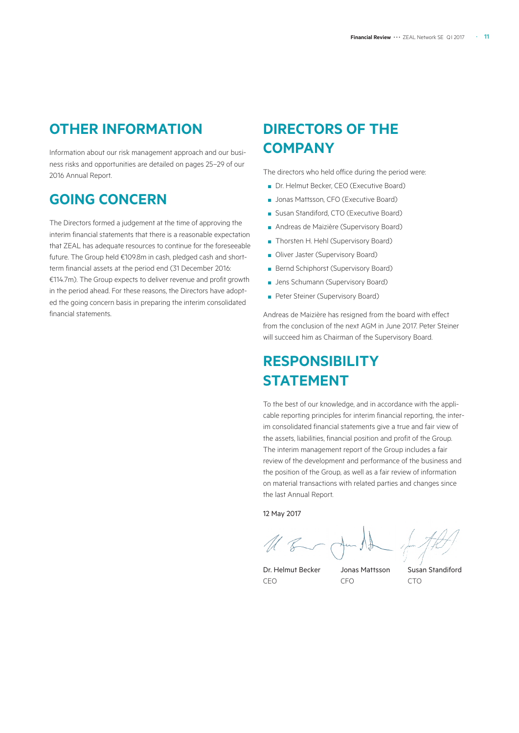# **OTHER INFORMATION**

Information about our risk management approach and our business risks and opportunities are detailed on pages 25–29 of our 2016 Annual Report.

## **GOING CONCERN**

The Directors formed a judgement at the time of approving the interim financial statements that there is a reasonable expectation that ZEAL has adequate resources to continue for the foreseeable future. The Group held €109.8m in cash, pledged cash and shortterm financial assets at the period end (31 December 2016: €114.7m). The Group expects to deliver revenue and profit growth in the period ahead. For these reasons, the Directors have adopted the going concern basis in preparing the interim consolidated financial statements.

# **DIRECTORS OF THE COMPANY**

The directors who held office during the period were:

- Dr. Helmut Becker, CEO (Executive Board)
- Jonas Mattsson, CFO (Executive Board)
- Susan Standiford, CTO (Executive Board)
- Andreas de Maizière (Supervisory Board)
- Thorsten H. Hehl (Supervisory Board)
- Oliver Jaster (Supervisory Board)
- Bernd Schiphorst (Supervisory Board)
- Jens Schumann (Supervisory Board)
- Peter Steiner (Supervisory Board)

Andreas de Maizière has resigned from the board with effect from the conclusion of the next AGM in June 2017. Peter Steiner will succeed him as Chairman of the Supervisory Board.

# **RESPONSIBILITY STATEMENT**

To the best of our knowledge, and in accordance with the applicable reporting principles for interim financial reporting, the interim consolidated financial statements give a true and fair view of the assets, liabilities, financial position and profit of the Group. The interim management report of the Group includes a fair review of the development and performance of the business and the position of the Group, as well as a fair review of information on material transactions with related parties and changes since the last Annual Report.

12 May 2017

Dr. Helmut Becker Jonas Mattsson Susan Standiford CEO CFO CTO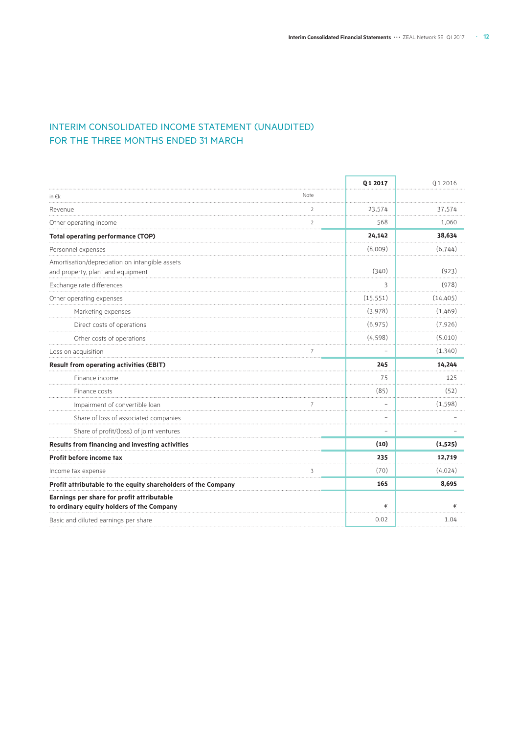### INTERIM CONSOLIDATED INCOME STATEMENT (UNAUDITED) FOR THE THREE MONTHS ENDED 31 MARCH

|                                                                                         |                | Q1 2017   | Q1 2016   |
|-----------------------------------------------------------------------------------------|----------------|-----------|-----------|
| in $\epsilon$ k                                                                         | Note           |           |           |
| Revenue                                                                                 | $\overline{2}$ | 23,574    | 37,574    |
| Other operating income                                                                  | 2              | 568       | 1,060     |
| <b>Total operating performance (TOP)</b>                                                |                | 24,142    | 38,634    |
| Personnel expenses                                                                      |                | (8,009)   | (6,744)   |
| Amortisation/depreciation on intangible assets<br>and property, plant and equipment     |                | (340)     | (923)     |
| Exchange rate differences                                                               |                | 3         | (978)     |
| Other operating expenses                                                                |                | (15, 551) | (14, 405) |
| Marketing expenses                                                                      |                | (3,978)   | (1,469)   |
| Direct costs of operations                                                              |                | (6, 975)  | (7,926)   |
| Other costs of operations                                                               |                | (4, 598)  | (5,010)   |
| Loss on acquisition                                                                     | 7              |           | (1, 340)  |
| <b>Result from operating activities (EBIT)</b>                                          |                | 245       | 14,244    |
| Finance income                                                                          |                | 75        | 125       |
| Finance costs                                                                           |                | (85)      | (52)      |
| Impairment of convertible loan                                                          |                |           | (1, 598)  |
| Share of loss of associated companies                                                   |                |           |           |
| Share of profit/(loss) of joint ventures                                                |                |           |           |
| Results from financing and investing activities                                         |                | (10)      | (1,525)   |
| Profit before income tax                                                                |                | 235       | 12,719    |
| Income tax expense                                                                      | 3              | (70)      | (4,024)   |
| Profit attributable to the equity shareholders of the Company                           |                | 165       | 8,695     |
| Earnings per share for profit attributable<br>to ordinary equity holders of the Company |                | €         | €         |
| Basic and diluted earnings per share                                                    |                | 0.02      | 1.04      |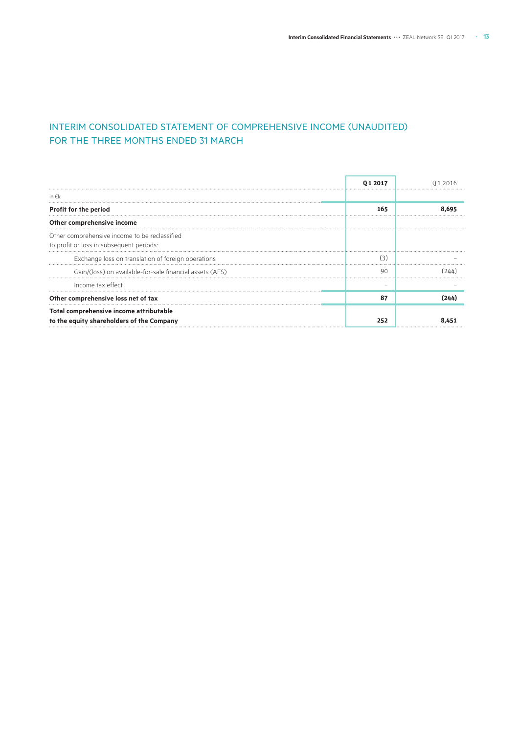### INTERIM CONSOLIDATED STATEMENT OF COMPREHENSIVE INCOME (UNAUDITED) FOR THE THREE MONTHS ENDED 31 MARCH

|                                                                                           | 012017 |  |
|-------------------------------------------------------------------------------------------|--------|--|
| in $\epsilon$ k                                                                           |        |  |
| Profit for the period                                                                     | 165    |  |
| Other comprehensive income                                                                |        |  |
| Other comprehensive income to be reclassified<br>to profit or loss in subsequent periods: |        |  |
| Exchange loss on translation of foreign operations                                        |        |  |
| Gain/(loss) on available-for-sale financial assets (AFS)                                  | 90     |  |
| Income tax effect                                                                         |        |  |
| Other comprehensive loss net of tax                                                       | 87     |  |
| Total comprehensive income attributable<br>to the equity shareholders of the Company      | 252    |  |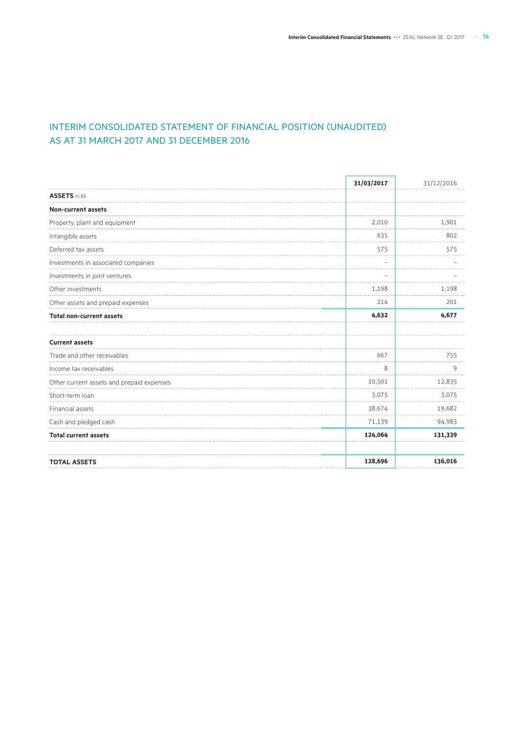### INTERIM CONSOLIDATED STATEMENT OF FINANCIAL POSITION (UNAUDITED) AS AT 31 MARCH 2017 AND 31 DECEMBER 2016

|                                           | 31/03/2017        | 31/12/2016 |
|-------------------------------------------|-------------------|------------|
| <b>ASSETS</b> in €k                       |                   |            |
| Non-current assets                        |                   |            |
| Property, plant and equipment             | 2,010             | 1,901      |
| Intangible assets                         | 635               | 802        |
| Deferred tax assets                       | 575               | 575        |
| Investments in associated companies       | $\qquad \qquad -$ |            |
| Investments in joint ventures             |                   |            |
| Other investments                         | 1,198             | 1,198      |
| Other assets and prepaid expenses         | 214               | 201        |
| <b>Total non-current assets</b>           | 4,632             | 4,677      |
| <b>Current assets</b>                     |                   |            |
| Trade and other receivables               | 667               | 755        |
| Income tax receivables                    | 8                 | 9          |
| Other current assets and prepaid expenses | 10,501            | 12,835     |
| Short-term loan                           | 3,075             | 3,075      |
| Financial assets                          | 38,674            | 19,682     |
| Cash and pledged cash                     | 71,139            | 94,983     |
| <b>Total current assets</b>               | 124,064           | 131,339    |
| <b>TOTAL ASSETS</b>                       | 128,696           | 136,016    |
|                                           |                   |            |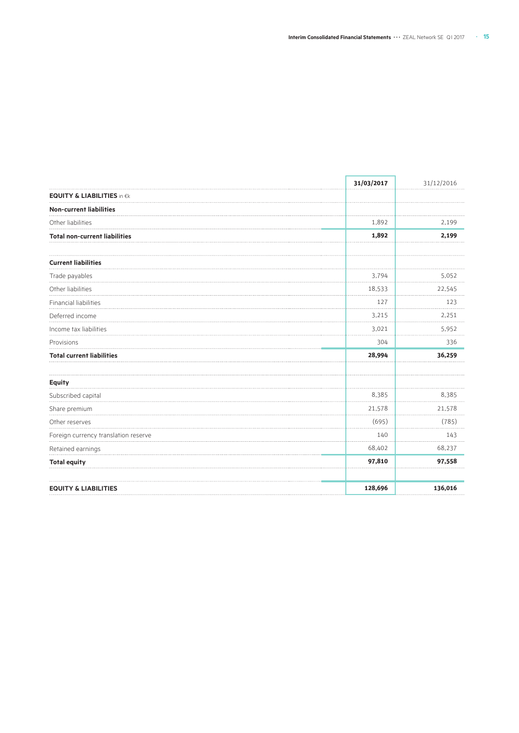|                                       | 31/03/2017 | 31/12/2016 |
|---------------------------------------|------------|------------|
| <b>EQUITY &amp; LIABILITIES in €k</b> |            |            |
| <b>Non-current liabilities</b>        |            |            |
| Other liabilities                     | 1,892      | 2,199      |
| <b>Total non-current liabilities</b>  | 1,892      | 2,199      |
| <b>Current liabilities</b>            |            |            |
| Trade payables                        | 3,794      | 5,052      |
| Other liabilities                     | 18,533     | 22,545     |
| Financial liabilities                 | 127        | 123        |
| Deferred income                       | 3,215      | 2,251      |
| Income tax liabilities                | 3,021      | 5,952      |
| Provisions                            | 304        | 336        |
| <b>Total current liabilities</b>      | 28,994     | 36,259     |
| <b>Equity</b>                         |            |            |
| Subscribed capital                    | 8,385      | 8,385      |
| Share premium                         | 21,578     | 21,578     |
| Other reserves                        | (695)      | (785)      |
| Foreign currency translation reserve  | 140        | 143        |
| Retained earnings                     | 68,402     | 68,237     |
| <b>Total equity</b>                   | 97,810     | 97,558     |
| <b>EQUITY &amp; LIABILITIES</b>       | 128,696    | 136,016    |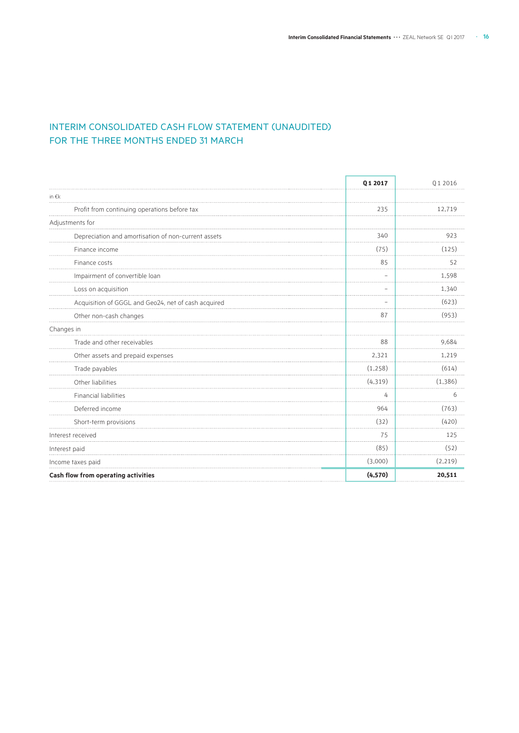### INTERIM CONSOLIDATED CASH FLOW STATEMENT (UNAUDITED) FOR THE THREE MONTHS ENDED 31 MARCH

|                                                     | Q1 2017           | Q1 2016 |
|-----------------------------------------------------|-------------------|---------|
| in $\epsilon$ k                                     |                   |         |
| Profit from continuing operations before tax        | 235               | 12,719  |
| Adjustments for                                     |                   |         |
| Depreciation and amortisation of non-current assets | 340               | 923     |
| Finance income                                      | (75)              | (125)   |
| Finance costs                                       | 85                | 52      |
| Impairment of convertible loan                      | $\qquad \qquad -$ | 1,598   |
| Loss on acquisition                                 |                   | 1,340   |
| Acquisition of GGGL and Geo24, net of cash acquired |                   | (623)   |
| Other non-cash changes                              | 87                | (953)   |
| Changes in                                          |                   |         |
| Trade and other receivables                         | 88                | 9,684   |
| Other assets and prepaid expenses                   | 2,321             | 1,219   |
| Trade payables                                      | (1,258)           | (614)   |
| Other liabilities                                   | (4, 319)          | (1,386) |
| Financial liabilities                               | 4                 | 6       |
| Deferred income                                     | 964               | (763)   |
| Short-term provisions                               | (32)              | (420)   |
| Interest received                                   | 75                | 125     |
| Interest paid                                       | (85)              | (52)    |
| Income taxes paid                                   | (3,000)           | (2,219) |
| Cash flow from operating activities                 | (4, 570)          | 20,511  |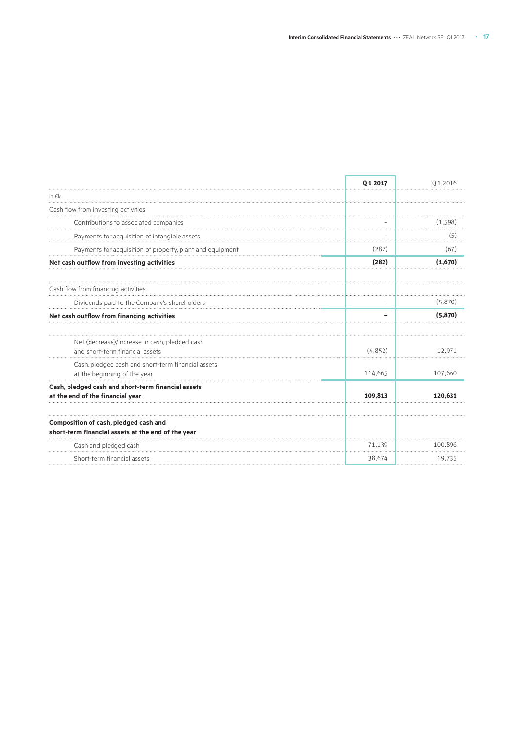| in $\epsilon$ k<br>Cash flow from investing activities<br>Contributions to associated companies<br>Payments for acquisition of intangible assets<br>Payments for acquisition of property, plant and equipment<br>Net cash outflow from investing activities<br>Cash flow from financing activities<br>Dividends paid to the Company's shareholders<br>Net cash outflow from financing activities<br>Net (decrease)/increase in cash, pledged cash<br>and short-term financial assets<br>Cash, pledged cash and short-term financial assets<br>at the beginning of the year | (282)<br>(282) | (1, 598)<br>(5)<br>(67)<br>(1,670) |
|----------------------------------------------------------------------------------------------------------------------------------------------------------------------------------------------------------------------------------------------------------------------------------------------------------------------------------------------------------------------------------------------------------------------------------------------------------------------------------------------------------------------------------------------------------------------------|----------------|------------------------------------|
|                                                                                                                                                                                                                                                                                                                                                                                                                                                                                                                                                                            |                |                                    |
|                                                                                                                                                                                                                                                                                                                                                                                                                                                                                                                                                                            |                |                                    |
|                                                                                                                                                                                                                                                                                                                                                                                                                                                                                                                                                                            |                |                                    |
|                                                                                                                                                                                                                                                                                                                                                                                                                                                                                                                                                                            |                |                                    |
|                                                                                                                                                                                                                                                                                                                                                                                                                                                                                                                                                                            |                |                                    |
|                                                                                                                                                                                                                                                                                                                                                                                                                                                                                                                                                                            |                |                                    |
|                                                                                                                                                                                                                                                                                                                                                                                                                                                                                                                                                                            |                |                                    |
|                                                                                                                                                                                                                                                                                                                                                                                                                                                                                                                                                                            |                | (5,870)                            |
|                                                                                                                                                                                                                                                                                                                                                                                                                                                                                                                                                                            |                | (5,870)                            |
|                                                                                                                                                                                                                                                                                                                                                                                                                                                                                                                                                                            | (4,852)        | 12.971                             |
|                                                                                                                                                                                                                                                                                                                                                                                                                                                                                                                                                                            | 114,665        | 107,660                            |
| Cash, pledged cash and short-term financial assets<br>at the end of the financial year                                                                                                                                                                                                                                                                                                                                                                                                                                                                                     | 109,813        | 120.631                            |
| Composition of cash, pledged cash and<br>short-term financial assets at the end of the year                                                                                                                                                                                                                                                                                                                                                                                                                                                                                |                |                                    |
| Cash and pledged cash                                                                                                                                                                                                                                                                                                                                                                                                                                                                                                                                                      | 71,139         | 100,896                            |
| Short-term financial assets                                                                                                                                                                                                                                                                                                                                                                                                                                                                                                                                                | 38,674         | 19.735                             |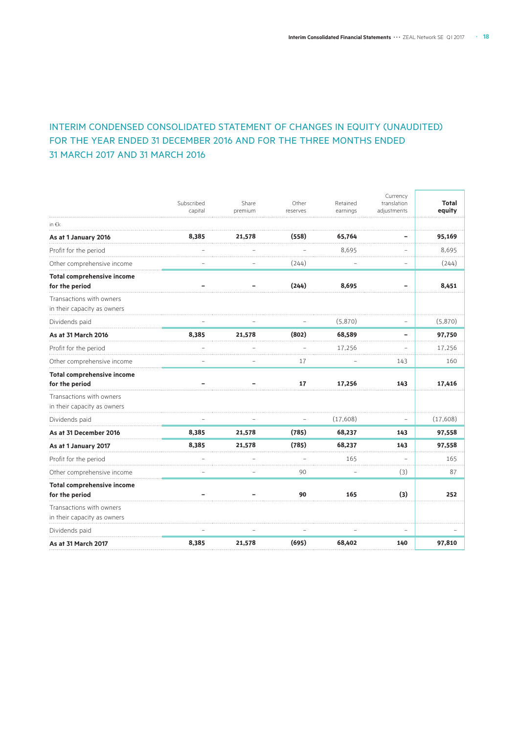### INTERIM CONDENSED CONSOLIDATED STATEMENT OF CHANGES IN EQUITY (UNAUDITED) FOR THE YEAR ENDED 31 DECEMBER 2016 AND FOR THE THREE MONTHS ENDED 31 MARCH 2017 AND 31 MARCH 2016

|                                                         | Subscribed<br>capital | Share<br>premium | Other<br>reserves | Retained<br>earnings | Currency<br>translation<br>adjustments | <b>Total</b><br>equity |
|---------------------------------------------------------|-----------------------|------------------|-------------------|----------------------|----------------------------------------|------------------------|
| in $\epsilon$ k                                         |                       |                  |                   |                      |                                        |                        |
| As at 1 January 2016                                    | 8,385                 | 21,578           | (558)             | 65,764               |                                        | 95,169                 |
| Profit for the period                                   |                       |                  |                   | 8,695                |                                        | 8,695                  |
| Other comprehensive income                              |                       |                  | (244)             |                      | -                                      | (244)                  |
| <b>Total comprehensive income</b><br>for the period     |                       |                  | (244)             | 8,695                |                                        | 8,451                  |
| Transactions with owners<br>in their capacity as owners |                       |                  |                   |                      |                                        |                        |
| Dividends paid                                          |                       |                  |                   | (5,870)              | $\overline{\phantom{0}}$               | (5,870)                |
| As at 31 March 2016                                     | 8,385                 | 21,578           | (802)             | 68,589               |                                        | 97,750                 |
| Profit for the period                                   |                       |                  |                   | 17.256               |                                        | 17,256                 |
| Other comprehensive income                              |                       |                  | 17                |                      | 143                                    | 160                    |
| Total comprehensive income<br>for the period            |                       |                  | 17                | 17,256               | 143                                    | 17,416                 |
| Transactions with owners<br>in their capacity as owners |                       |                  |                   |                      |                                        |                        |
| Dividends paid                                          |                       |                  |                   | (17,608)             |                                        | (17,608)               |
| As at 31 December 2016                                  | 8,385                 | 21,578           | (785)             | 68,237               | 143                                    | 97,558                 |
| As at 1 January 2017                                    | 8,385                 | 21,578           | (785)             | 68,237               | 143                                    | 97,558                 |
| Profit for the period                                   |                       |                  |                   | 165                  |                                        | 165                    |
| Other comprehensive income                              |                       |                  | 90                |                      | (3)                                    | 87                     |
| <b>Total comprehensive income</b><br>for the period     |                       |                  | 90                | 165                  | (3)                                    | 252                    |
| Transactions with owners<br>in their capacity as owners |                       |                  |                   |                      |                                        |                        |
| Dividends paid                                          |                       |                  |                   |                      |                                        |                        |
| As at 31 March 2017                                     | 8,385                 | 21,578           | (695)             | 68,402               | 140                                    | 97,810                 |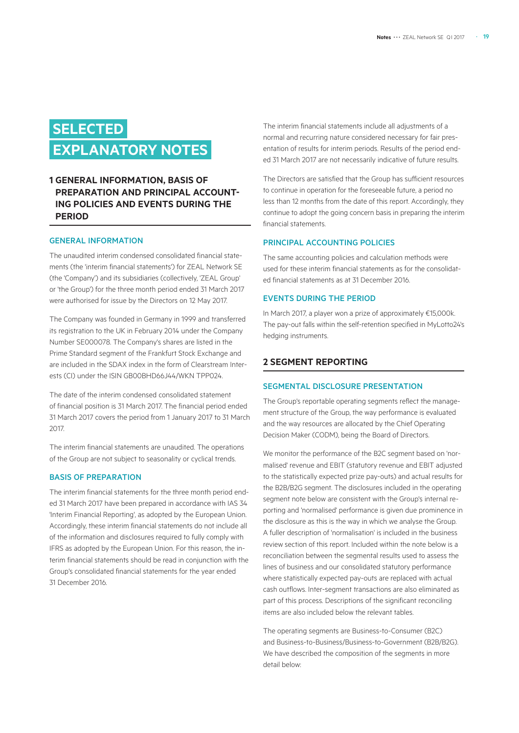# **SELECTED EXPLANATORY NOTES**

### **1 GENERAL INFORMATION, BASIS OF PREPARATION AND PRINCIPAL ACCOUNT-ING POLICIES AND EVENTS DURING THE PERIOD**

### GENERAL INFORMATION

The unaudited interim condensed consolidated financial statements (the 'interim financial statements') for ZEAL Network SE (the 'Company') and its subsidiaries (collectively, 'ZEAL Group' or 'the Group') for the three month period ended 31 March 2017 were authorised for issue by the Directors on 12 May 2017.

The Company was founded in Germany in 1999 and transferred its registration to the UK in February 2014 under the Company Number SE000078. The Company's shares are listed in the Prime Standard segment of the Frankfurt Stock Exchange and are included in the SDAX index in the form of Clearstream Interests (CI) under the ISIN GB00BHD66J44/WKN TPP024.

The date of the interim condensed consolidated statement of financial position is 31 March 2017. The financial period ended 31 March 2017 covers the period from 1 January 2017 to 31 March 2017.

The interim financial statements are unaudited. The operations of the Group are not subject to seasonality or cyclical trends.

### BASIS OF PREPARATION

The interim financial statements for the three month period ended 31 March 2017 have been prepared in accordance with IAS 34 'Interim Financial Reporting', as adopted by the European Union. Accordingly, these interim financial statements do not include all of the information and disclosures required to fully comply with IFRS as adopted by the European Union. For this reason, the interim financial statements should be read in conjunction with the Group's consolidated financial statements for the year ended 31 December 2016.

The interim financial statements include all adjustments of a normal and recurring nature considered necessary for fair presentation of results for interim periods. Results of the period ended 31 March 2017 are not necessarily indicative of future results.

The Directors are satisfied that the Group has sufficient resources to continue in operation for the foreseeable future, a period no less than 12 months from the date of this report. Accordingly, they continue to adopt the going concern basis in preparing the interim financial statements.

### PRINCIPAL ACCOUNTING POLICIES

The same accounting policies and calculation methods were used for these interim financial statements as for the consolidated financial statements as at 31 December 2016.

#### EVENTS DURING THE PERIOD

In March 2017, a player won a prize of approximately €15,000k. The pay-out falls within the self-retention specified in MyLotto24's hedging instruments.

### **2 SEGMENT REPORTING**

### SEGMENTAL DISCLOSURE PRESENTATION

The Group's reportable operating segments reflect the management structure of the Group, the way performance is evaluated and the way resources are allocated by the Chief Operating Decision Maker (CODM), being the Board of Directors.

We monitor the performance of the B2C segment based on 'normalised' revenue and EBIT (statutory revenue and EBIT adjusted to the statistically expected prize pay-outs) and actual results for the B2B/B2G segment. The disclosures included in the operating segment note below are consistent with the Group's internal reporting and 'normalised' performance is given due prominence in the disclosure as this is the way in which we analyse the Group. A fuller description of 'normalisation' is included in the business review section of this report. Included within the note below is a reconciliation between the segmental results used to assess the lines of business and our consolidated statutory performance where statistically expected pay-outs are replaced with actual cash outflows. Inter-segment transactions are also eliminated as part of this process. Descriptions of the significant reconciling items are also included below the relevant tables.

The operating segments are Business-to-Consumer (B2C) and Business-to-Business/Business-to-Government (B2B/B2G). We have described the composition of the segments in more detail below: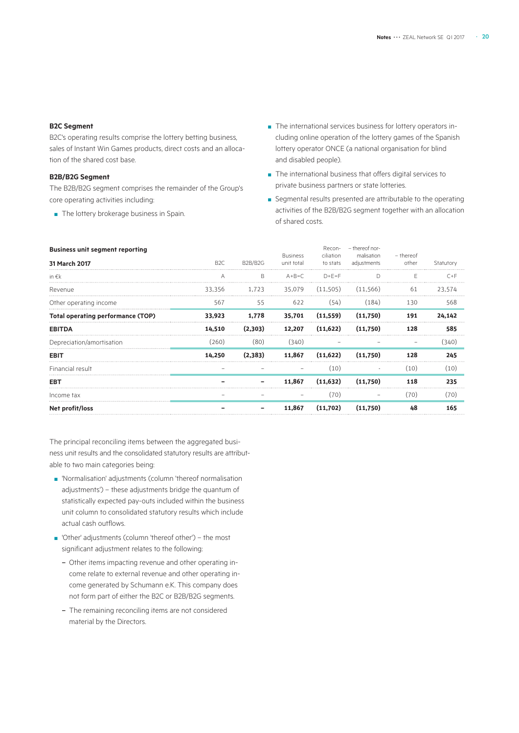### **B2C Segment**

B2C's operating results comprise the lottery betting business, sales of Instant Win Games products, direct costs and an allocation of the shared cost base.

### **B2B/B2G Segment**

The B2B/B2G segment comprises the remainder of the Group's core operating activities including:

■ The lottery brokerage business in Spain.

- The international services business for lottery operators including online operation of the lottery games of the Spanish lottery operator ONCE (a national organisation for blind and disabled people).
- The international business that offers digital services to private business partners or state lotteries.
- Segmental results presented are attributable to the operating activities of the B2B/B2G segment together with an allocation of shared costs.

| <b>Business unit segment reporting</b>   |                  |              |                               | Recon-                | - thereof nor-            |                    |           |
|------------------------------------------|------------------|--------------|-------------------------------|-----------------------|---------------------------|--------------------|-----------|
| 31 March 2017                            | B <sub>2</sub> C | B2B/B2G      | <b>Business</b><br>unit total | ciliation<br>to stats | malisation<br>adjustments | - thereof<br>other | Statutory |
| in €k                                    |                  | <sub>B</sub> | $A + B = C$                   | $D + F = F$           |                           |                    | $C + F$   |
| Revenue                                  | 33.356           | 1.723        | 35,079                        | (11.505)              | (11.566)                  | 61                 | 23.574    |
| Other operating income                   | 567              | 55           | 622                           | (54)                  | (184)                     | 130                | 568       |
| <b>Total operating performance (TOP)</b> | 33,923           | 1,778        | 35,701                        | (11, 559)             | (11,750)                  | 191                | 24,142    |
| <b>EBITDA</b>                            | 14,510           | (2,303)      | 12,207                        | (11,622)              | (11,750)                  | 128                | 585       |
| Depreciation/amortisation                | (260)            | (80)         | (340)                         |                       |                           |                    | (340)     |
| <b>EBIT</b>                              | 14,250           | (2,383)      | 11,867                        | (11, 622)             | (11,750)                  | 128                | 245       |
| Financial result                         |                  |              |                               | (10)                  |                           | (10)               | (10)      |
| EBT                                      |                  |              | 11.867                        | (11, 632)             | (11.750)                  | 118                | 235       |
| Income tax                               |                  |              |                               | (70)                  |                           | (70)               | (70)      |
| Net profit/loss                          |                  |              | 11,867                        | (11,702)              | (11.750)                  | 48                 | 165       |
|                                          |                  |              |                               |                       |                           |                    |           |

The principal reconciling items between the aggregated business unit results and the consolidated statutory results are attributable to two main categories being:

- 'Normalisation' adjustments (column 'thereof normalisation adjustments') – these adjustments bridge the quantum of statistically expected pay-outs included within the business unit column to consolidated statutory results which include actual cash outflows.
- 'Other' adjustments (column 'thereof other') the most significant adjustment relates to the following:
	- Other items impacting revenue and other operating income relate to external revenue and other operating income generated by Schumann e.K. This company does not form part of either the B2C or B2B/B2G segments.
	- The remaining reconciling items are not considered material by the Directors.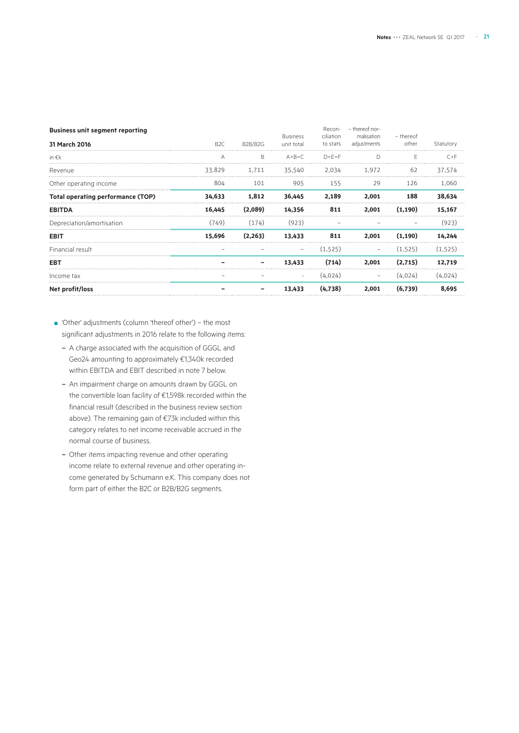| malisation               | - thereof   |           |
|--------------------------|-------------|-----------|
|                          | other       | Statutory |
|                          |             | $C+F$     |
| 1,972                    | 62          | 37,574    |
| 29                       | 126         | 1,060     |
| 2.001                    | 188         | 38,634    |
| 2,001                    | (1, 190)    | 15,167    |
|                          |             | (923)     |
| 2,001                    | (1, 190)    | 14,244    |
| $\overline{\phantom{m}}$ | (1,525)     | (1, 525)  |
| 2.001                    | (2,715)     | 12.719    |
|                          | (4,024)     | (4,024)   |
| 2.001                    | (6,739)     | 8.695     |
|                          | adjustments |           |

- 'Other' adjustments (column 'thereof other') the most significant adjustments in 2016 relate to the following items:
	- A charge associated with the acquisition of GGGL and Geo24 amounting to approximately €1,340k recorded within EBITDA and EBIT described in note 7 below.
	- An impairment charge on amounts drawn by GGGL on the convertible loan facility of €1,598k recorded within the financial result (described in the business review section above). The remaining gain of €73k included within this category relates to net income receivable accrued in the normal course of business.
	- Other items impacting revenue and other operating income relate to external revenue and other operating income generated by Schumann e.K. This company does not form part of either the B2C or B2B/B2G segments.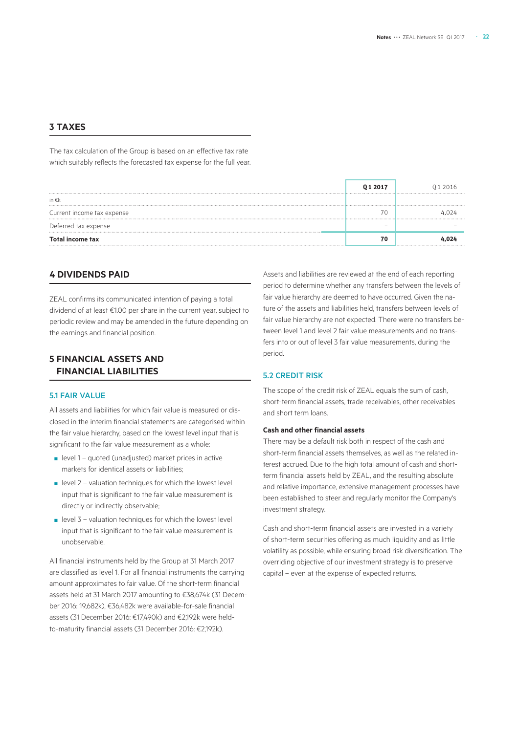### **3 TAXES**

The tax calculation of the Group is based on an effective tax rate which suitably reflects the forecasted tax expense for the full year.

|                            | 01 2017 | 012016 |
|----------------------------|---------|--------|
| in €k                      |         |        |
| Current income tax expense | 70      |        |
| Deferred tax expense       |         |        |
| Total income tax           | 70      |        |

### **4 DIVIDENDS PAID**

ZEAL confirms its communicated intention of paying a total dividend of at least €1.00 per share in the current year, subject to periodic review and may be amended in the future depending on the earnings and financial position.

### **5 FINANCIAL ASSETS AND FINANCIAL LIABILITIES**

### 5.1 FAIR VALUE

All assets and liabilities for which fair value is measured or disclosed in the interim financial statements are categorised within the fair value hierarchy, based on the lowest level input that is significant to the fair value measurement as a whole:

- level 1 quoted (unadjusted) market prices in active markets for identical assets or liabilities;
- $\blacksquare$  level 2 valuation techniques for which the lowest level input that is significant to the fair value measurement is directly or indirectly observable;
- level 3 valuation techniques for which the lowest level input that is significant to the fair value measurement is unobservable.

All financial instruments held by the Group at 31 March 2017 are classified as level 1. For all financial instruments the carrying amount approximates to fair value. Of the short-term financial assets held at 31 March 2017 amounting to €38,674k (31 December 2016: 19,682k), €36,482k were available-for-sale financial assets (31 December 2016: €17,490k) and €2,192k were heldto-maturity financial assets (31 December 2016: €2,192k).

Assets and liabilities are reviewed at the end of each reporting period to determine whether any transfers between the levels of fair value hierarchy are deemed to have occurred. Given the nature of the assets and liabilities held, transfers between levels of fair value hierarchy are not expected. There were no transfers between level 1 and level 2 fair value measurements and no transfers into or out of level 3 fair value measurements, during the period.

### 5.2 CREDIT RISK

The scope of the credit risk of ZEAL equals the sum of cash, short-term financial assets, trade receivables, other receivables and short term loans.

### **Cash and other financial assets**

There may be a default risk both in respect of the cash and short-term financial assets themselves, as well as the related interest accrued. Due to the high total amount of cash and shortterm financial assets held by ZEAL, and the resulting absolute and relative importance, extensive management processes have been established to steer and regularly monitor the Company's investment strategy.

Cash and short-term financial assets are invested in a variety of short-term securities offering as much liquidity and as little volatility as possible, while ensuring broad risk diversification. The overriding objective of our investment strategy is to preserve capital – even at the expense of expected returns.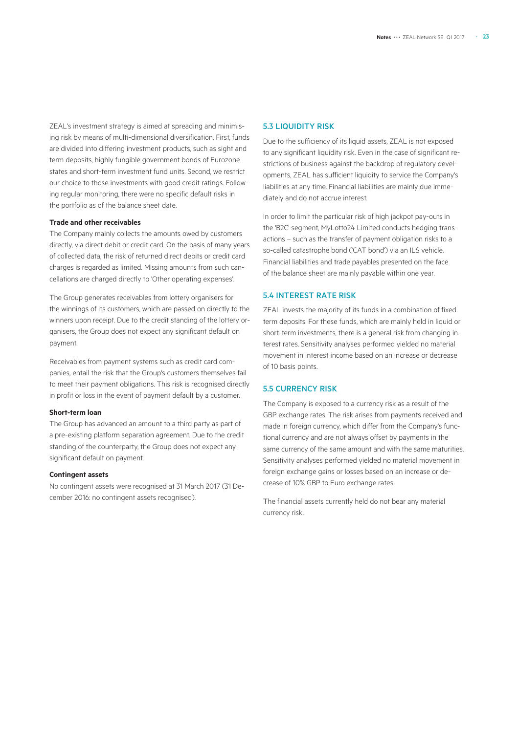ZEAL's investment strategy is aimed at spreading and minimising risk by means of multi-dimensional diversification. First, funds are divided into differing investment products, such as sight and term deposits, highly fungible government bonds of Eurozone states and short-term investment fund units. Second, we restrict our choice to those investments with good credit ratings. Following regular monitoring, there were no specific default risks in the portfolio as of the balance sheet date.

### **Trade and other receivables**

The Company mainly collects the amounts owed by customers directly, via direct debit or credit card. On the basis of many years of collected data, the risk of returned direct debits or credit card charges is regarded as limited. Missing amounts from such cancellations are charged directly to 'Other operating expenses'.

The Group generates receivables from lottery organisers for the winnings of its customers, which are passed on directly to the winners upon receipt. Due to the credit standing of the lottery organisers, the Group does not expect any significant default on payment.

Receivables from payment systems such as credit card companies, entail the risk that the Group's customers themselves fail to meet their payment obligations. This risk is recognised directly in profit or loss in the event of payment default by a customer.

#### **Short-term loan**

The Group has advanced an amount to a third party as part of a pre-existing platform separation agreement. Due to the credit standing of the counterparty, the Group does not expect any significant default on payment.

### **Contingent assets**

No contingent assets were recognised at 31 March 2017 (31 December 2016: no contingent assets recognised).

### 5.3 LIQUIDITY RISK

Due to the sufficiency of its liquid assets, ZEAL is not exposed to any significant liquidity risk. Even in the case of significant restrictions of business against the backdrop of regulatory developments, ZEAL has sufficient liquidity to service the Company's liabilities at any time. Financial liabilities are mainly due immediately and do not accrue interest.

In order to limit the particular risk of high jackpot pay-outs in the 'B2C' segment, MyLotto24 Limited conducts hedging transactions – such as the transfer of payment obligation risks to a so-called catastrophe bond ('CAT bond') via an ILS vehicle. Financial liabilities and trade payables presented on the face of the balance sheet are mainly payable within one year.

### 5.4 INTEREST RATE RISK

ZEAL invests the majority of its funds in a combination of fixed term deposits. For these funds, which are mainly held in liquid or short-term investments, there is a general risk from changing interest rates. Sensitivity analyses performed yielded no material movement in interest income based on an increase or decrease of 10 basis points.

### 5.5 CURRENCY RISK

The Company is exposed to a currency risk as a result of the GBP exchange rates. The risk arises from payments received and made in foreign currency, which differ from the Company's functional currency and are not always offset by payments in the same currency of the same amount and with the same maturities. Sensitivity analyses performed yielded no material movement in foreign exchange gains or losses based on an increase or decrease of 10% GBP to Euro exchange rates.

The financial assets currently held do not bear any material currency risk.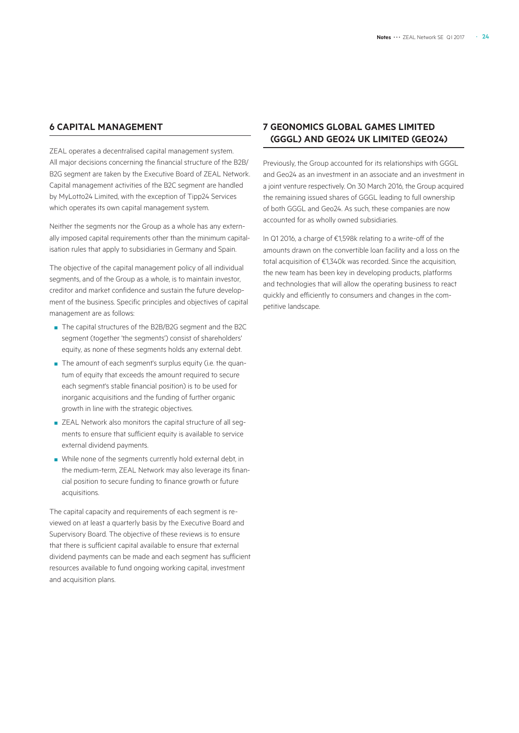### **6 CAPITAL MANAGEMENT**

ZEAL operates a decentralised capital management system. All major decisions concerning the financial structure of the B2B/ B2G segment are taken by the Executive Board of ZEAL Network. Capital management activities of the B2C segment are handled by MyLotto24 Limited, with the exception of Tipp24 Services which operates its own capital management system.

Neither the segments nor the Group as a whole has any externally imposed capital requirements other than the minimum capitalisation rules that apply to subsidiaries in Germany and Spain.

The objective of the capital management policy of all individual segments, and of the Group as a whole, is to maintain investor, creditor and market confidence and sustain the future development of the business. Specific principles and objectives of capital management are as follows:

- The capital structures of the B2B/B2G segment and the B2C segment (together 'the segments') consist of shareholders' equity, as none of these segments holds any external debt.
- The amount of each segment's surplus equity (i.e. the quantum of equity that exceeds the amount required to secure each segment's stable financial position) is to be used for inorganic acquisitions and the funding of further organic growth in line with the strategic objectives.
- ZEAL Network also monitors the capital structure of all segments to ensure that sufficient equity is available to service external dividend payments.
- While none of the segments currently hold external debt, in the medium-term, ZEAL Network may also leverage its financial position to secure funding to finance growth or future acquisitions.

The capital capacity and requirements of each segment is reviewed on at least a quarterly basis by the Executive Board and Supervisory Board. The objective of these reviews is to ensure that there is sufficient capital available to ensure that external dividend payments can be made and each segment has sufficient resources available to fund ongoing working capital, investment and acquisition plans.

### **7 GEONOMICS GLOBAL GAMES LIMITED (GGGL) AND GEO24 UK LIMITED (GEO24)**

Previously, the Group accounted for its relationships with GGGL and Geo24 as an investment in an associate and an investment in a joint venture respectively. On 30 March 2016, the Group acquired the remaining issued shares of GGGL leading to full ownership of both GGGL and Geo24. As such, these companies are now accounted for as wholly owned subsidiaries.

In Q1 2016, a charge of €1,598k relating to a write-off of the amounts drawn on the convertible loan facility and a loss on the total acquisition of €1,340k was recorded. Since the acquisition, the new team has been key in developing products, platforms and technologies that will allow the operating business to react quickly and efficiently to consumers and changes in the competitive landscape.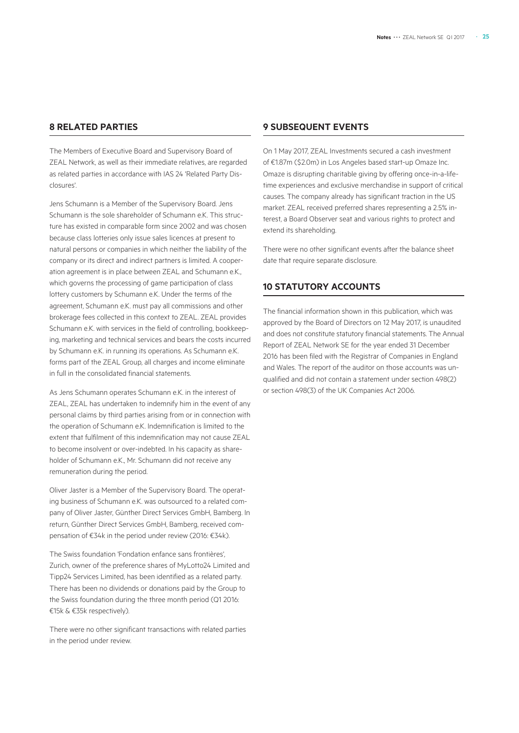### **8 RELATED PARTIES**

The Members of Executive Board and Supervisory Board of ZEAL Network, as well as their immediate relatives, are regarded as related parties in accordance with IAS 24 'Related Party Disclosures'.

Jens Schumann is a Member of the Supervisory Board. Jens Schumann is the sole shareholder of Schumann e.K. This structure has existed in comparable form since 2002 and was chosen because class lotteries only issue sales licences at present to natural persons or companies in which neither the liability of the company or its direct and indirect partners is limited. A cooperation agreement is in place between ZEAL and Schumann e.K., which governs the processing of game participation of class lottery customers by Schumann e.K. Under the terms of the agreement, Schumann e.K. must pay all commissions and other brokerage fees collected in this context to ZEAL. ZEAL provides Schumann e.K. with services in the field of controlling, bookkeeping, marketing and technical services and bears the costs incurred by Schumann e.K. in running its operations. As Schumann e.K. forms part of the ZEAL Group, all charges and income eliminate in full in the consolidated financial statements.

As Jens Schumann operates Schumann e.K. in the interest of ZEAL, ZEAL has undertaken to indemnify him in the event of any personal claims by third parties arising from or in connection with the operation of Schumann e.K. Indemnification is limited to the extent that fulfilment of this indemnification may not cause ZEAL to become insolvent or over-indebted. In his capacity as shareholder of Schumann e.K., Mr. Schumann did not receive any remuneration during the period.

Oliver Jaster is a Member of the Supervisory Board. The operating business of Schumann e.K. was outsourced to a related company of Oliver Jaster, Günther Direct Services GmbH, Bamberg. In return, Günther Direct Services GmbH, Bamberg, received compensation of €34k in the period under review (2016: €34k).

The Swiss foundation 'Fondation enfance sans frontières', Zurich, owner of the preference shares of MyLotto24 Limited and Tipp24 Services Limited, has been identified as a related party. There has been no dividends or donations paid by the Group to the Swiss foundation during the three month period (Q1 2016: €15k & €35k respectively).

There were no other significant transactions with related parties in the period under review.

### **9 SUBSEQUENT EVENTS**

On 1 May 2017, ZEAL Investments secured a cash investment of €1.87m (�2.0m) in Los Angeles based start-up Omaze Inc. Omaze is disrupting charitable giving by offering once-in-a-lifetime experiences and exclusive merchandise in support of critical causes. The company already has significant traction in the US market. ZEAL received preferred shares representing a 2.5% interest, a Board Observer seat and various rights to protect and extend its shareholding.

There were no other significant events after the balance sheet date that require separate disclosure.

### **10 STATUTORY ACCOUNTS**

The financial information shown in this publication, which was approved by the Board of Directors on 12 May 2017, is unaudited and does not constitute statutory financial statements. The Annual Report of ZEAL Network SE for the year ended 31 December 2016 has been filed with the Registrar of Companies in England and Wales. The report of the auditor on those accounts was unqualified and did not contain a statement under section 498(2) or section 498(3) of the UK Companies Act 2006.